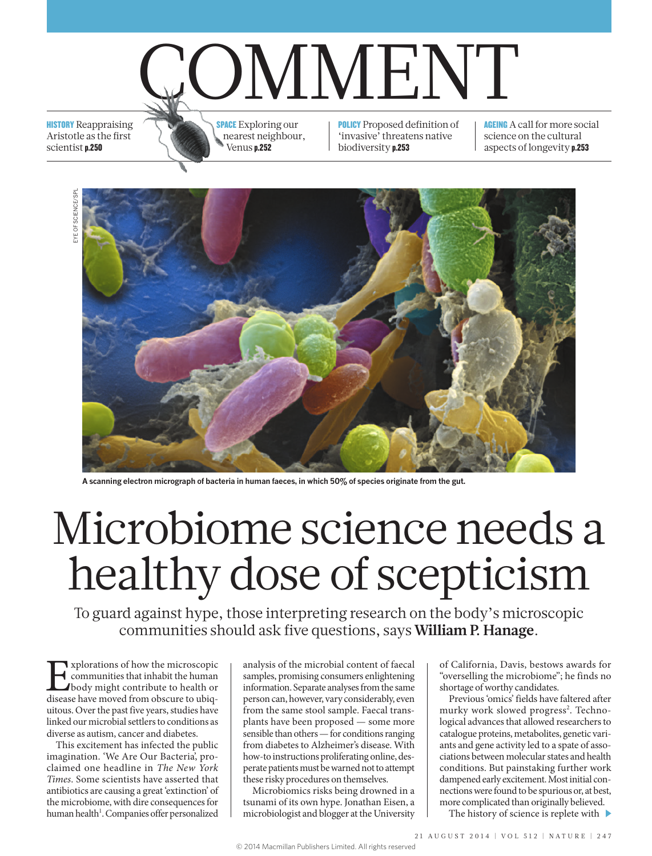

**HISTORY** Reappraising Aristotle as the first scientist p.250

**SPACE** Exploring our nearest neighbour, Venus p.252

POLICY Proposed definition of 'invasive' threatens native biodiversity p.253

**AGEING** A call for more social science on the cultural aspects of longevity p.253



**A scanning electron micrograph of bacteria in human faeces, in which 50% of species originate from the gut.**

# Microbiome science needs a healthy dose of scepticism

To guard against hype, those interpreting research on the body's microscopic communities should ask five questions, says **William P. Hanage**.

**Explorations of how the microscopic communities that inhabit the human body might contribute to health or disease have moved from obscure to ubiq**communities that inhabit the human body might contribute to health or disease have moved from obscure to ubiquitous. Over the past five years, studies have linked our microbial settlers to conditions as diverse as autism, cancer and diabetes.

This excitement has infected the public imagination. 'We Are Our Bacteria', proclaimed one headline in *The New York Times*. Some scientists have asserted that antibiotics are causing a great 'extinction' of the microbiome, with dire consequences for human health<sup>1</sup>. Companies offer personalized analysis of the microbial content of faecal samples, promising consumers enlightening information. Separate analyses from the same person can, however, vary considerably, even from the same stool sample. Faecal transplants have been proposed — some more sensible than others — for conditions ranging from diabetes to Alzheimer's disease. With how-to instructions proliferating online, desperate patients must be warned not to attempt these risky procedures on themselves.

Microbiomics risks being drowned in a tsunami of its own hype. Jonathan Eisen, a microbiologist and blogger at the University of California, Davis, bestows awards for "overselling the microbiome"; he finds no shortage of worthy candidates.

Previous 'omics' fields have faltered after murky work slowed progress<sup>2</sup>. Technological advances that allowed researchers to catalogue proteins, metabolites, genetic variants and gene activity led to a spate of associations between molecular states and health conditions. But painstaking further work dampened early excitement. Most initial connections were found to be spurious or, at best, more complicated than originally believed.

The history of science is replete with  $\blacktriangleright$